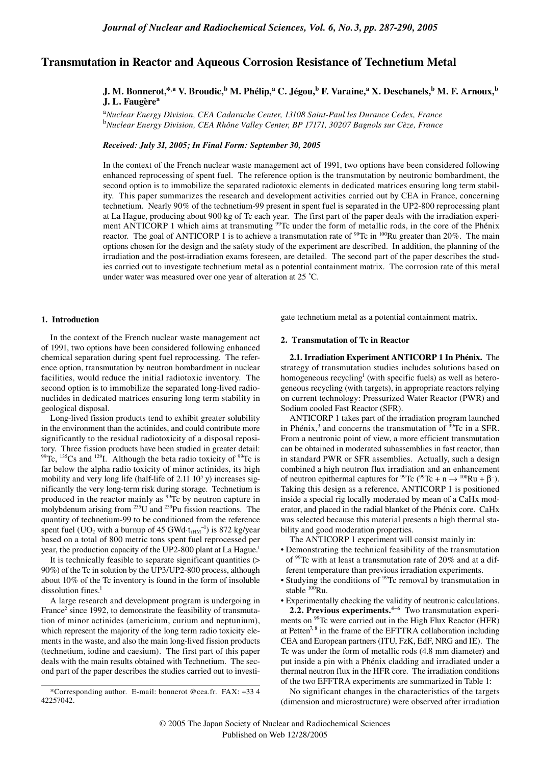# **Transmutation in Reactor and Aqueous Corrosion Resistance of Technetium Metal**

# **J. M. Bonnerot,\*,a V. Broudic,b M. Phélip,a C. Jégou,b F. Varaine,a X. Deschanels,b M. F. Arnoux,b J. L. Faugère<sup>a</sup>**

a *Nuclear Energy Division, CEA Cadarache Center, 13108 Saint-Paul les Durance Cedex, France*  <sup>b</sup>*Nuclear Energy Division, CEA Rhône Valley Center, BP 17171, 30207 Bagnols sur Cèze, France* 

*Received: July 31, 2005; In Final Form: September 30, 2005*

In the context of the French nuclear waste management act of 1991, two options have been considered following enhanced reprocessing of spent fuel. The reference option is the transmutation by neutronic bombardment, the second option is to immobilize the separated radiotoxic elements in dedicated matrices ensuring long term stability. This paper summarizes the research and development activities carried out by CEA in France, concerning technetium. Nearly 90% of the technetium-99 present in spent fuel is separated in the UP2-800 reprocessing plant at La Hague, producing about 900 kg of Tc each year. The first part of the paper deals with the irradiation experiment ANTICORP 1 which aims at transmuting <sup>99</sup>Tc under the form of metallic rods, in the core of the Phénix reactor. The goal of ANTICORP 1 is to achieve a transmutation rate of  $^{99}$ Tc in  $^{100}$ Ru greater than 20%. The main options chosen for the design and the safety study of the experiment are described. In addition, the planning of the irradiation and the post-irradiation exams foreseen, are detailed. The second part of the paper describes the studies carried out to investigate technetium metal as a potential containment matrix. The corrosion rate of this metal under water was measured over one year of alteration at 25 ˚C.

### **1. Introduction**

In the context of the French nuclear waste management act of 1991, two options have been considered following enhanced chemical separation during spent fuel reprocessing. The reference option, transmutation by neutron bombardment in nuclear facilities, would reduce the initial radiotoxic inventory. The second option is to immobilize the separated long-lived radionuclides in dedicated matrices ensuring long term stability in geological disposal.

Long-lived fission products tend to exhibit greater solubility in the environment than the actinides, and could contribute more significantly to the residual radiotoxicity of a disposal repository. Three fission products have been studied in greater detail:  $99$ Tc,  $135$ Cs and  $129$ I. Although the beta radio toxicity of  $99$ Tc is far below the alpha radio toxicity of minor actinides, its high mobility and very long life (half-life of  $2.11 \, 10^5$  y) increases significantly the very long-term risk during storage. Technetium is produced in the reactor mainly as <sup>99</sup>Tc by neutron capture in molybdenum arising from  $^{235}$ U and  $^{239}$ Pu fission reactions. The quantity of technetium-99 to be conditioned from the reference spent fuel (UO<sub>2</sub> with a burnup of 45 GWd $\cdot t_{\text{ifM}}^{-1}$ ) is 872 kg/year based on a total of 800 metric tons spent fuel reprocessed per year, the production capacity of the UP2-800 plant at La Hague.<sup>1</sup>

It is technically feasible to separate significant quantities (> 90%) of the Tc in solution by the UP3/UP2-800 process, although about 10% of the Tc inventory is found in the form of insoluble dissolution fines.<sup>1</sup>

A large research and development program is undergoing in France<sup>2</sup> since 1992, to demonstrate the feasibility of transmutation of minor actinides (americium, curium and neptunium), which represent the majority of the long term radio toxicity elements in the waste, and also the main long-lived fission products (technetium, iodine and caesium). The first part of this paper deals with the main results obtained with Technetium. The second part of the paper describes the studies carried out to investigate technetium metal as a potential containment matrix.

## **2. Transmutation of Tc in Reactor**

**2.1. Irradiation Experiment ANTICORP 1 In Phénix.** The strategy of transmutation studies includes solutions based on homogeneous recycling<sup>1</sup> (with specific fuels) as well as heterogeneous recycling (with targets), in appropriate reactors relying on current technology: Pressurized Water Reactor (PWR) and Sodium cooled Fast Reactor (SFR).

ANTICORP 1 takes part of the irradiation program launched in Phénix,<sup>3</sup> and concerns the transmutation of  $99$ Tc in a SFR. From a neutronic point of view, a more efficient transmutation can be obtained in moderated subassemblies in fast reactor, than in standard PWR or SFR assemblies. Actually, such a design combined a high neutron flux irradiation and an enhancement of neutron epithermal captures for <sup>99</sup>Tc (<sup>99</sup>Tc + n → <sup>100</sup>Ru + β<sup>-</sup>). Taking this design as a reference, ANTICORP 1 is positioned inside a special rig locally moderated by mean of a CaHx moderator, and placed in the radial blanket of the Phénix core. CaHx was selected because this material presents a high thermal stability and good moderation properties.

The ANTICORP 1 experiment will consist mainly in:

- Demonstrating the technical feasibility of the transmutation of 99Tc with at least a transmutation rate of 20% and at a different temperature than previous irradiation experiments.
- Studying the conditions of <sup>99</sup>Tc removal by transmutation in stable 100Ru.
- Experimentally checking the validity of neutronic calculations.

**2.2. Previous experiments.4–6** Two transmutation experiments on <sup>99</sup>Tc were carried out in the High Flux Reactor (HFR) at Petten<sup>7, 8</sup> in the frame of the EFTTRA collaboration including CEA and European partners (ITU, FzK, EdF, NRG and IE). The Tc was under the form of metallic rods (4.8 mm diameter) and put inside a pin with a Phénix cladding and irradiated under a thermal neutron flux in the HFR core. The irradiation conditions of the two EFFTRA experiments are summarized in Table 1:

No significant changes in the characteristics of the targets (dimension and microstructure) were observed after irradiation

<sup>\*</sup>Corresponding author. E-mail: bonnerot @cea.fr. FAX: +33 4 42257042.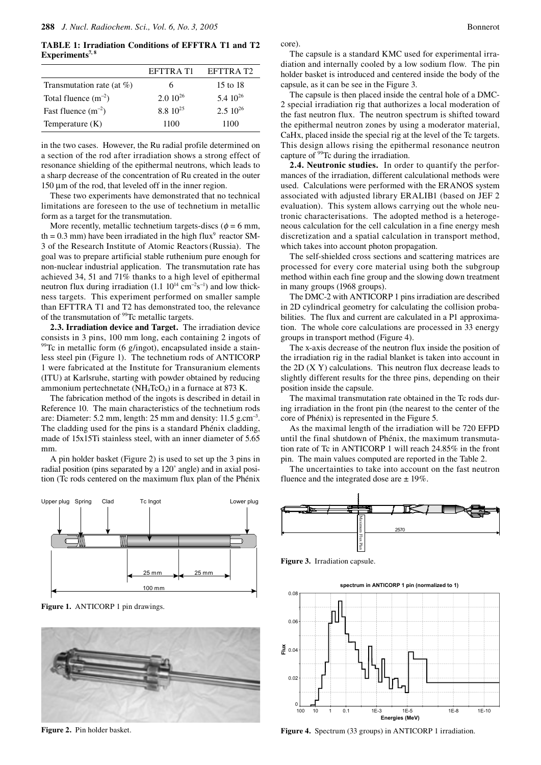**TABLE 1: Irradiation Conditions of EFFTRA T1 and T2**  Experiments<sup>7, 8</sup>

|                               | EFTTRA T1           | EFTTRA T2           |
|-------------------------------|---------------------|---------------------|
| Transmutation rate (at $\%$ ) | 6                   | 15 to 18            |
| Total fluence $(m^{-2})$      | $2.010^{26}$        | $5.4 \cdot 10^{26}$ |
| Fast fluence $(m^{-2})$       | $8.8 \cdot 10^{25}$ | $2.5 \, 10^{26}$    |
| Temperature $(K)$             | 1100                | 1100                |

in the two cases. However, the Ru radial profile determined on a section of the rod after irradiation shows a strong effect of resonance shielding of the epithermal neutrons, which leads to a sharp decrease of the concentration of Ru created in the outer 150 µm of the rod, that leveled off in the inner region.

These two experiments have demonstrated that no technical limitations are foreseen to the use of technetium in metallic form as a target for the transmutation.

More recently, metallic technetium targets-discs ( $\phi = 6$  mm, th =  $0.3$  mm) have been irradiated in the high flux<sup>9</sup> reactor SM-3 of the Research Institute of Atomic Reactors(Russia). The goal was to prepare artificial stable ruthenium pure enough for non-nuclear industrial application. The transmutation rate has achieved 34, 51 and 71% thanks to a high level of epithermal neutron flux during irradiation  $(1.1 \ 10^{14} \text{ cm}^{-2} \text{s}^{-1})$  and low thickness targets. This experiment performed on smaller sample than EFTTRA T1 and T2 has demonstrated too, the relevance of the transmutation of <sup>99</sup>Tc metallic targets.

**2.3. Irradiation device and Target.** The irradiation device consists in 3 pins, 100 mm long, each containing 2 ingots of  $99$ <sup>T</sup>C in metallic form (6 g/ingot), encapsulated inside a stainless steel pin (Figure 1). The technetium rods of ANTICORP 1 were fabricated at the Institute for Transuranium elements (ITU) at Karlsruhe, starting with powder obtained by reducing ammonium pertechnetate (NH<sub>4</sub>TcO<sub>4</sub>) in a furnace at 873 K.

The fabrication method of the ingots is described in detail in Reference 10. The main characteristics of the technetium rods are: Diameter:  $5.2$  mm, length:  $25$  mm and density:  $11.5$  g.cm<sup>-3</sup>. The cladding used for the pins is a standard Phénix cladding, made of 15x15Ti stainless steel, with an inner diameter of 5.65 mm.

A pin holder basket (Figure 2) is used to set up the 3 pins in radial position (pins separated by a 120˚ angle) and in axial position (Tc rods centered on the maximum flux plan of the Phénix



Figure 1. ANTICORP 1 pin drawings.



**Figure 2.** Pin holder basket.

core).

The capsule is a standard KMC used for experimental irradiation and internally cooled by a low sodium flow. The pin holder basket is introduced and centered inside the body of the capsule, as it can be see in the Figure 3.

The capsule is then placed inside the central hole of a DMC-2 special irradiation rig that authorizes a local moderation of the fast neutron flux. The neutron spectrum is shifted toward the epithermal neutron zones by using a moderator material, CaHx, placed inside the special rig at the level of the Tc targets. This design allows rising the epithermal resonance neutron capture of 99Tc during the irradiation.

**2.4. Neutronic studies.** In order to quantify the performances of the irradiation, different calculational methods were used. Calculations were performed with the ERANOS system associated with adjusted library ERALIB1 (based on JEF 2 evaluation). This system allows carrying out the whole neutronic characterisations. The adopted method is a heterogeneous calculation for the cell calculation in a fine energy mesh discretization and a spatial calculation in transport method, which takes into account photon propagation.

The self-shielded cross sections and scattering matrices are processed for every core material using both the subgroup method within each fine group and the slowing down treatment in many groups (1968 groups).

The DMC-2 with ANTICORP 1 pins irradiation are described in 2D cylindrical geometry for calculating the collision probabilities. The flux and current are calculated in a P1 approximation. The whole core calculations are processed in 33 energy groups in transport method (Figure 4).

The x-axis decrease of the neutron flux inside the position of the irradiation rig in the radial blanket is taken into account in the 2D (X Y) calculations. This neutron flux decrease leads to slightly different results for the three pins, depending on their position inside the capsule.

The maximal transmutation rate obtained in the Tc rods during irradiation in the front pin (the nearest to the center of the core of Phénix) is represented in the Figure 5.

As the maximal length of the irradiation will be 720 EFPD until the final shutdown of Phénix, the maximum transmutation rate of Tc in ANTICORP 1 will reach 24.85% in the front pin. The main values computed are reported in the Table 2.

The uncertainties to take into account on the fast neutron fluence and the integrated dose are  $\pm 19\%$ .



**Figure 3.** Irradiation capsule.

**spectrum in ANTICORP 1 pin (normalized to 1)**



**Figure 4.** Spectrum (33 groups) in ANTICORP 1 irradiation.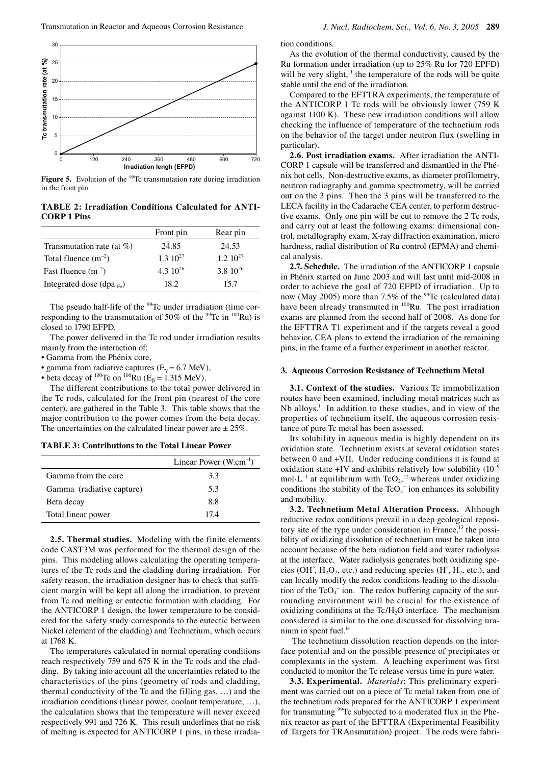

**Figure 5.** Evolution of the <sup>99</sup>Tc transmutation rate during irradiation in the front pin.

**TABLE 2: Irradiation Conditions Calculated for ANTI-CORP 1 Pins**

|                                | Front pin        | Rear pin         |
|--------------------------------|------------------|------------------|
| Transmutation rate (at $%$ )   | 24.85            | 24.53            |
| Total fluence $(m^{-2})$       | $1.3 \; 10^{27}$ | $1.2 \; 10^{27}$ |
| Fast fluence $(m^{-2})$        | 4.3 $10^{26}$    | $3.8\ 10^{26}$   |
| Integrated dose (dpa $_{Fe}$ ) | 18.2             | 15.7             |

The pseudo half-life of the <sup>99</sup>Tc under irradiation (time corresponding to the transmutation of 50% of the  $^{99}$ Tc in  $^{100}$ Ru) is closed to 1790 EFPD.

The power delivered in the Tc rod under irradiation results mainly from the interaction of:

- Gamma from the Phénix core,
- gamma from radiative captures ( $E_{\gamma}$  = 6.7 MeV),
- beta decay of <sup>100</sup>Tc on <sup>100</sup>Ru (E<sub>β</sub> = 1.315 MeV).

The different contributions to the total power delivered in the Tc rods, calculated for the front pin (nearest of the core center), are gathered in the Table 3. This table shows that the major contribution to the power comes from the beta decay. The uncertainties on the calculated linear power are  $\pm 25\%$ .

|  |  |  | <b>TABLE 3: Contributions to the Total Linear Power</b> |  |  |  |  |  |
|--|--|--|---------------------------------------------------------|--|--|--|--|--|
|--|--|--|---------------------------------------------------------|--|--|--|--|--|

|                           | Linear Power $(W.cm^{-1})$ |
|---------------------------|----------------------------|
| Gamma from the core       | 3.3                        |
| Gamma (radiative capture) | 5.3                        |
| Beta decay                | 8.8                        |
| Total linear power        | 174                        |

**2.5. Thermal studies.** Modeling with the finite elements code CAST3M was performed for the thermal design of the pins. This modeling allows calculating the operating temperatures of the Tc rods and the cladding during irradiation. For safety reason, the irradiation designer has to check that sufficient margin will be kept all along the irradiation, to prevent from Tc rod melting or eutectic formation with cladding. For the ANTICORP 1 design, the lower temperature to be considered for the safety study corresponds to the eutectic between Nickel (element of the cladding) and Technetium, which occurs at 1768 K.

The temperatures calculated in normal operating conditions reach respectively 759 and 675 K in the Tc rods and the cladding. By taking into account all the uncertainties related to the characteristics of the pins (geometry of rods and cladding, thermal conductivity of the Tc and the filling gas, …) and the irradiation conditions (linear power, coolant temperature, …), the calculation shows that the temperature will never exceed respectively 991 and 726 K. This result underlines that no risk of melting is expected for ANTICORP 1 pins, in these irradiation conditions.

As the evolution of the thermal conductivity, caused by the Ru formation under irradiation (up to 25% Ru for 720 EPFD) will be very slight, $\frac{11}{11}$  the temperature of the rods will be quite stable until the end of the irradiation.

Compared to the EFTTRA experiments, the temperature of the ANTICORP 1 Tc rods will be obviously lower (759 K) against 1100 K). These new irradiation conditions will allow checking the influence of temperature of the technetium rods on the behavior of the target under neutron flux (swelling in particular).

**2.6. Post irradiation exams.** After irradiation the ANTI-CORP 1 capsule will be transferred and dismantled in the Phénix hot cells. Non-destructive exams, as diameter profilometry, neutron radiography and gamma spectrometry, will be carried out on the 3 pins. Then the 3 pins will be transferred to the LECA facility in the Cadarache CEA center, to perform destructive exams. Only one pin will be cut to remove the 2 Tc rods, and carry out at least the following exams: dimensional control, metallography exam, X-ray diffraction examination, micro hardness, radial distribution of Ru control (EPMA) and chemical analysis.

**2.7. Schedule.** The irradiation of the ANTICORP 1 capsule in Phénix started on June 2003 and will last until mid-2008 in order to achieve the goal of 720 EFPD of irradiation. Up to now (May 2005) more than  $7.5\%$  of the <sup>99</sup>Tc (calculated data) have been already transmuted in <sup>100</sup>Ru. The post irradiation exams are planned from the second half of 2008. As done for the EFTTRA T1 experiment and if the targets reveal a good behavior, CEA plans to extend the irradiation of the remaining pins, in the frame of a further experiment in another reactor.

### **3. Aqueous Corrosion Resistance of Technetium Metal**

**3.1. Context of the studies.** Various Tc immobilization routes have been examined, including metal matrices such as Nb alloys.<sup>1</sup> In addition to these studies, and in view of the properties of technetium itself, the aqueous corrosion resistance of pure Tc metal has been assessed.

Its solubility in aqueous media is highly dependent on its oxidation state. Technetium exists at several oxidation states between 0 and +VII. Under reducing conditions it is found at oxidation state +IV and exhibits relatively low solubility  $(10^{-9}$ mol⋅L<sup>-1</sup> at equilibrium with TcO<sub>2</sub>,<sup>12</sup> whereas under oxidizing conditions the stability of the  $TcO<sub>4</sub><sup>-</sup>$  ion enhances its solubility and mobility.

**3.2. Technetium Metal Alteration Process.** Although reductive redox conditions prevail in a deep geological repository site of the type under consideration in France,<sup>13</sup> the possibility of oxidizing dissolution of technetium must be taken into account because of the beta radiation field and water radiolysis at the interface. Water radiolysis generates both oxidizing species (OH°,  $H_2O_2$ , etc.) and reducing species (H°,  $H_2$ , etc.), and can locally modify the redox conditions leading to the dissolution of the  $TcO<sub>4</sub>$  ion. The redox buffering capacity of the surrounding environment will be crucial for the existence of oxidizing conditions at the  $Tc/H_2O$  interface. The mechanism considered is similar to the one discussed for dissolving uranium in spent fuel.<sup>14</sup>

 The technetium dissolution reaction depends on the interface potential and on the possible presence of precipitates or complexants in the system. A leaching experiment was first conducted to monitor the Tc release versus time in pure water.

**3.3. Experimental.** *Materials*: This preliminary experiment was carried out on a piece of Tc metal taken from one of the technetium rods prepared for the ANTICORP 1 experiment for transmuting <sup>99</sup>Tc subjected to a moderated flux in the Phenix reactor as part of the EFTTRA (Experimental Feasibility of Targets for TRAnsmutation) project. The rods were fabri